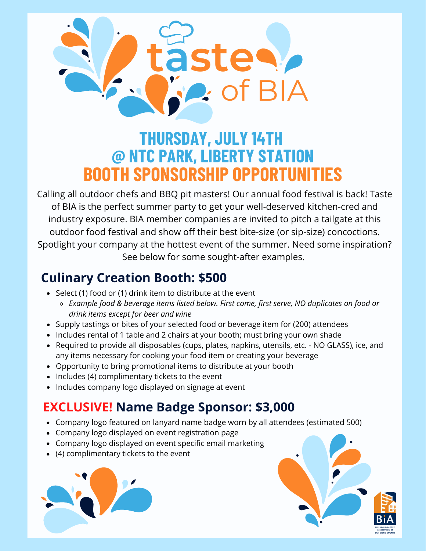

# **THURSDAY, JULY 14TH @ NTC PARK, LIBERTY STATION BOOTH SPONSORSHIP OPPORTUNITIES**

Calling all outdoor chefs and BBQ pit masters! Our annual food festival is back! Taste of BIA is the perfect summer party to get your well-deserved kitchen-cred and industry exposure. BIA member companies are invited to pitch a tailgate at this outdoor food festival and show off their best bite-size (or sip-size) concoctions. Spotlight your company at the hottest event of the summer. Need some inspiration? See below for some sought-after examples.

## **Culinary Creation Booth: \$500**

- Select (1) food or (1) drink item to distribute at the event
	- *Example food & beverage items listed below. First come, first serve, NO duplicates on food or drink items except for beer and wine*
- Supply tastings or bites of your selected food or beverage item for (200) attendees
- Includes rental of 1 table and 2 chairs at your booth; must bring your own shade
- Required to provide all disposables (cups, plates, napkins, utensils, etc. NO GLASS), ice, and any items necessary for cooking your food item or creating your beverage
- Opportunity to bring promotional items to distribute at your booth
- Includes (4) complimentary tickets to the event
- Includes company logo displayed on signage at event

## **EXCLUSIVE! Name Badge Sponsor: \$3,000**

- Company logo featured on lanyard name badge worn by all attendees (estimated 500)
- Company logo displayed on event registration page
- Company logo displayed on event specific email marketing
- (4) complimentary tickets to the event